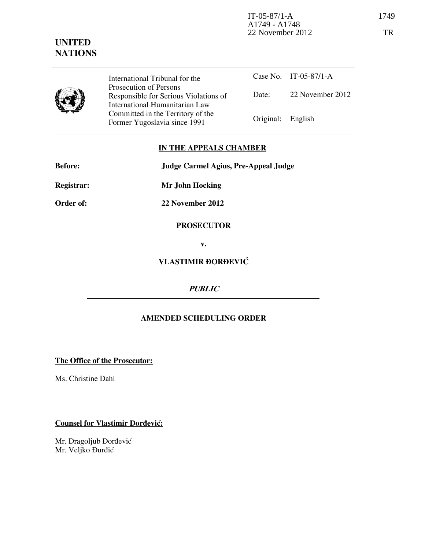

International Tribunal for the Prosecution of Persons Responsible for Serious Violations of International Humanitarian Law Committed in the Territory of the Former Yugoslavia since 1991 Original: English

Case No. IT-05-87/1-A Date: 22 November 2012

## IN THE APPEALS CHAMBER

| <b>Before:</b>    | Judge Carmel Agius, Pre-Appeal Judge |
|-------------------|--------------------------------------|
| <b>Registrar:</b> | <b>Mr John Hocking</b>               |
| Order of:         | 22 November 2012                     |
|                   |                                      |

# **PROSECUTOR**

v.

# VLASTIMIR ðORðEVIĆ

### PUBLIC

### AMENDED SCHEDULING ORDER

#### The Office of the Prosecutor:

Ms. Christine Dahl

### Counsel for Vlastimir Đorđević:

Mr. Dragoljub Đorđević Mr. Veljko Đurđić